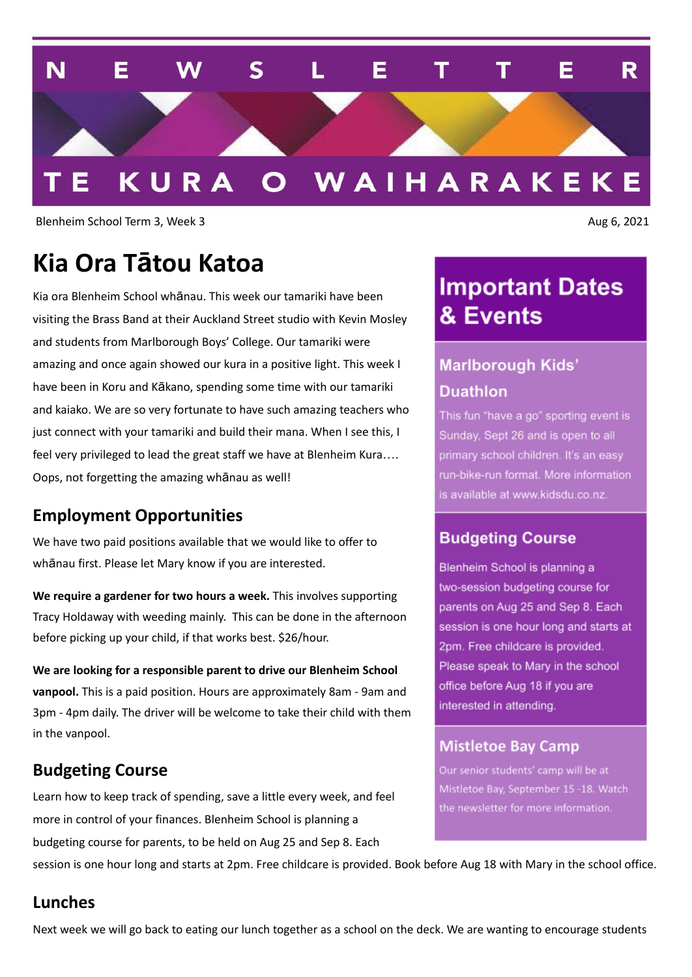

Blenheim School Term 3, Week 3 Aug 6, 2021

## **Kia Ora Tātou Katoa**

Kia ora Blenheim School whānau. This week our tamariki have been visiting the Brass Band at their Auckland Street studio with Kevin Mosley and students from Marlborough Boys' College. Our tamariki were amazing and once again showed our kura in a positive light. This week I have been in Koru and Kākano, spending some time with our tamariki and kaiako. We are so very fortunate to have such amazing teachers who just connect with your tamariki and build their mana. When I see this, I feel very privileged to lead the great staff we have at Blenheim Kura…. Oops, not forgetting the amazing whānau as well!

#### **Employment Opportunities**

We have two paid positions available that we would like to offer to whānau first. Please let Mary know if you are interested.

**We require a gardener for two hours a week.** This involves supporting Tracy Holdaway with weeding mainly. This can be done in the afternoon before picking up your child, if that works best. \$26/hour.

**We are looking for a responsible parent to drive our Blenheim School vanpool.** This is a paid position. Hours are approximately 8am - 9am and 3pm - 4pm daily. The driver will be welcome to take their child with them in the vanpool.

#### **Budgeting Course**

Learn how to keep track of spending, save a little every week, and feel more in control of your finances. Blenheim School is planning a budgeting course for parents, to be held on Aug 25 and Sep 8. Each

## **Important Dates** & Events

## **Marlborough Kids' Duathlon**

This fun "have a go" sporting event is Sunday, Sept 26 and is open to all primary school children. It's an easy run-bike-run format. More information is available at www.kidsdu.co.nz.

#### **Budgeting Course**

Blenheim School is planning a two-session budgeting course for parents on Aug 25 and Sep 8. Each session is one hour long and starts at 2pm. Free childcare is provided. Please speak to Mary in the school office before Aug 18 if you are interested in attending.

#### **Mistletoe Bay Camp**

Our senior students' camp will be at Mistletoe Bay, September 15 -18. Watch the newsletter for more information.

session is one hour long and starts at 2pm. Free childcare is provided. Book before Aug 18 with Mary in the school office.

#### **Lunches**

Next week we will go back to eating our lunch together as a school on the deck. We are wanting to encourage students